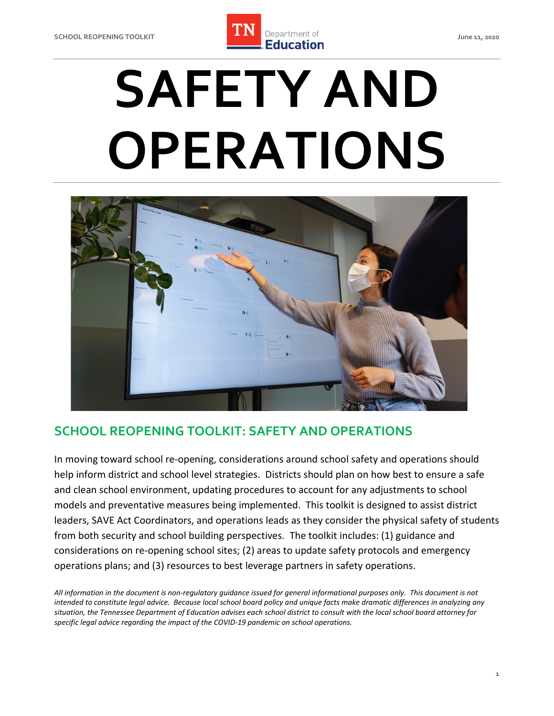

# **SAFETY AND OPERATIONS**



## **SCHOOL REOPENING TOOLKIT: SAFETY AND OPERATIONS**

 In moving toward school re-opening, considerations around school safety and operations should help inform district and school level strategies. Districts should plan on how best to ensure a safe and clean school environment, updating procedures to account for any adjustments to school models and preventative measures being implemented. This toolkit is designed to assist district leaders, SAVE Act Coordinators, and operations leads as they consider the physical safety of students from both security and school building perspectives. The toolkit includes: (1) guidance and considerations on re-opening school sites; (2) areas to update safety protocols and emergency operations plans; and (3) resources to best leverage partners in safety operations.

 *All information in the document is non-regulatory guidance issued for general informational purposes only. This document is not intended to constitute legal advice. Because local school board policy and unique facts make dramatic differences in analyzing any situation, the Tennessee Department of Education advises each school district to consult with the local school board attorney for specific legal advice regarding the impact of the COVID-19 pandemic on school operations.*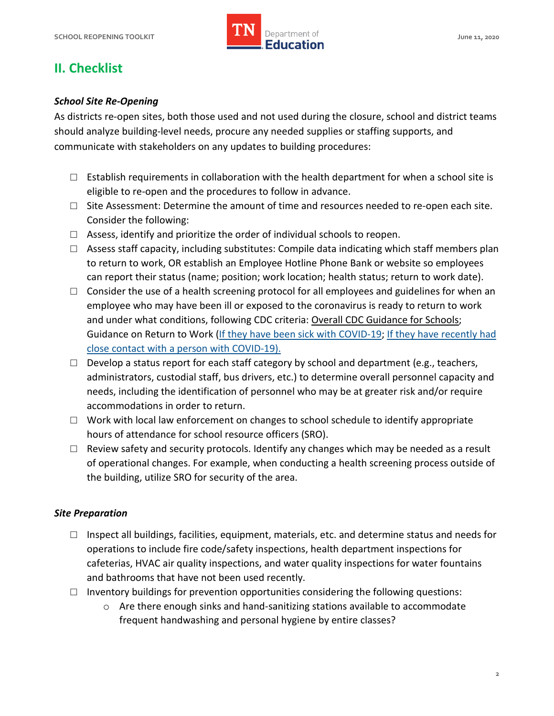

# **II. Checklist**

#### *School Site Re-Opening*

 As districts re-open sites, both those used and not used during the closure, school and district teams should analyze building-level needs, procure any needed supplies or staffing supports, and communicate with stakeholders on any updates to building procedures:

- $\Box$  Establish requirements in collaboration with the health department for when a school site is eligible to re-open and the procedures to follow in advance.
- $\square$  Site Assessment: Determine the amount of time and resources needed to re-open each site. Consider the following:
- $\Box$  Assess, identify and prioritize the order of individual schools to reopen.
- □ Assess staff capacity, including substitutes: Compile data indicating which staff members plan to return to work, OR establish an Employee Hotline Phone Bank or website so employees can report their status (name; position; work location; health status; return to work date).
- employee who may have been ill or exposed to the coronavirus is ready to return to work  $\Box$  Consider the use of a health screening protocol for all employees and guidelines for when an and under what conditions, following CDC criteria: [Overall CDC Guidance for Schools;](https://www.cdc.gov/coronavirus/2019-ncov/community/schools-childcare/schools.html) Guidance on Return to Work [\(If they have been sick with COVID-19;](https://www.cdc.gov/coronavirus/2019-ncov/if-you-are-sick/steps-when-sick.html) [If they have recently had](https://www.cdc.gov/coronavirus/2019-ncov/if-you-are-sick/quarantine-isolation.html)  [close contact with a person with COVID-19\)](https://www.cdc.gov/coronavirus/2019-ncov/if-you-are-sick/quarantine-isolation.html).
- administrators, custodial staff, bus drivers, etc.) to determine overall personnel capacity and  $\Box$  Develop a status report for each staff category by school and department (e.g., teachers, needs, including the identification of personnel who may be at greater risk and/or require accommodations in order to return.
- □ Work with local law enforcement on changes to school schedule to identify appropriate hours of attendance for school resource officers (SRO).
- of operational changes. For example, when conducting a health screening process outside of  $\Box$  Review safety and security protocols. Identify any changes which may be needed as a result the building, utilize SRO for security of the area.

#### *Site Preparation*

- $\square$  Inspect all buildings, facilities, equipment, materials, etc. and determine status and needs for operations to include fire code/safety inspections, health department inspections for cafeterias, HVAC air quality inspections, and water quality inspections for water fountains and bathrooms that have not been used recently.
- $\Box$  Inventory buildings for prevention opportunities considering the following questions:
	- frequent handwashing and personal hygiene by entire classes? o Are there enough sinks and hand-sanitizing stations available to accommodate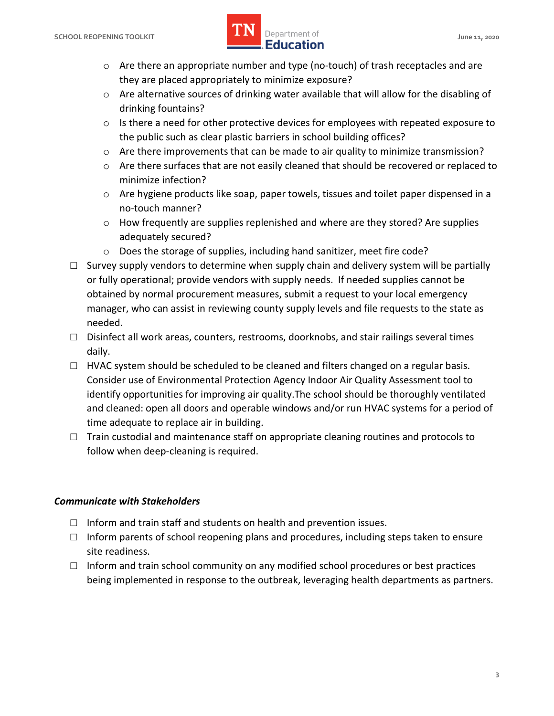#### **SCHOOL REOPENING TOOLKIT SCHOOL ASSESSED ASSESSED AT A PROPERTY OF A SERVICE OF A SERVICE OF A SCHOOL AND A June 11, 2020 lightlerightlerightlerightlerightlerightlerightlerightlerightlerightlerightlerightlerightlerightlerightlerightlerightlerightlerightlerightlerightlerightlerightlerightlerightlerightlerightlerightlerightlerightlerightlerigh IMPLE Department of**

- o Are there an appropriate number and type (no-touch) of trash receptacles and are they are placed appropriately to minimize exposure?
- o Are alternative sources of drinking water available that will allow for the disabling of drinking fountains?
- $\circ$  Is there a need for other protective devices for employees with repeated exposure to the public such as clear plastic barriers in school building offices?
- $\circ$  Are there improvements that can be made to air quality to minimize transmission?
- $\circ$  Are there surfaces that are not easily cleaned that should be recovered or replaced to minimize infection?
- o Are hygiene products like soap, paper towels, tissues and toilet paper dispensed in a no-touch manner?
- $\circ$  How frequently are supplies replenished and where are they stored? Are supplies adequately secured?
- o Does the storage of supplies, including hand sanitizer, meet fire code?
- or fully operational; provide vendors with supply needs. If needed supplies cannot be manager, who can assist in reviewing county supply levels and file requests to the state as  $\square$  Survey supply vendors to determine when supply chain and delivery system will be partially obtained by normal procurement measures, submit a request to your local emergency needed.
- $\Box$  Disinfect all work areas, counters, restrooms, doorknobs, and stair railings several times daily.
- □ HVAC system should be scheduled to be cleaned and filters changed on a regular basis.<br>Consider use of <u>Environmental Protection Agency Indoor Air Quality Assessment</u> tool to and cleaned: open all doors and operable windows and/or run HVAC systems for a period of time adequate to replace air in building. identify opportunities for improving air quality.The school should be thoroughly ventilated
- □ Train custodial and maintenance staff on appropriate cleaning routines and protocols to follow when deep-cleaning is required.

#### *Communicate with Stakeholders*

- $\Box$  Inform and train staff and students on health and prevention issues.
- $\square$  Inform parents of school reopening plans and procedures, including steps taken to ensure site readiness.
- $\square$  Inform and train school community on any modified school procedures or best practices being implemented in response to the outbreak, leveraging health departments as partners.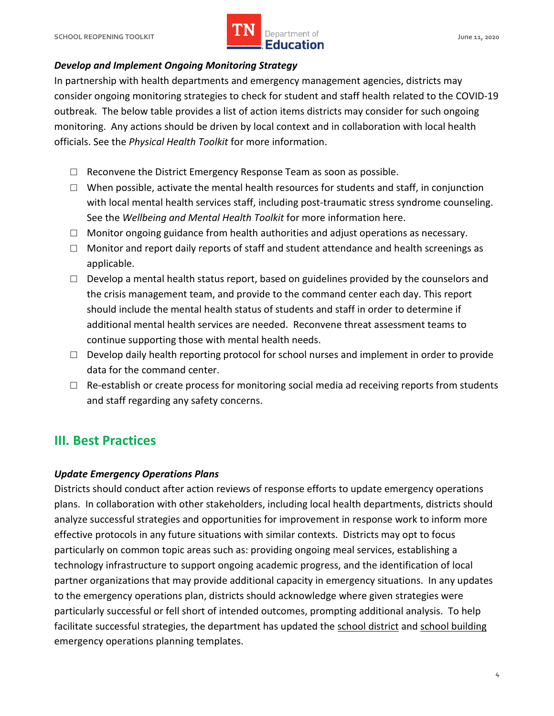

#### *Develop and Implement Ongoing Monitoring Strategy*

 In partnership with health departments and emergency management agencies, districts may consider ongoing monitoring strategies to check for student and staff health related to the COVID-19 outbreak. The below table provides a list of action items districts may consider for such ongoing monitoring. Any actions should be driven by local context and in collaboration with local health officials. See the *Physical Health Toolkit* for more information.

- $\Box$  Reconvene the District Emergency Response Team as soon as possible.
- with local mental health services staff, including post-traumatic stress syndrome counseling.  $\Box$  When possible, activate the mental health resources for students and staff, in conjunction See the *Wellbeing and Mental Health Toolkit* for more information here.
- □ Monitor ongoing guidance from health authorities and adjust operations as necessary.
- □ Monitor and report daily reports of staff and student attendance and health screenings as applicable.
- $\Box$  Develop a mental health status report, based on guidelines provided by the counselors and the crisis management team, and provide to the command center each day. This report additional mental health services are needed. Reconvene threat assessment teams to should include the mental health status of students and staff in order to determine if continue supporting those with mental health needs.
- $\square$  Develop daily health reporting protocol for school nurses and implement in order to provide data for the command center.
- $\Box$  Re-establish or create process for monitoring social media ad receiving reports from students and staff regarding any safety concerns.

## **III. Best Practices**

#### *Update Emergency Operations Plans*

 Districts should conduct after action reviews of response efforts to update emergency operations plans. In collaboration with other stakeholders, including local health departments, districts should analyze successful strategies and opportunities for improvement in response work to inform more effective protocols in any future situations with similar contexts. Districts may opt to focus particularly on common topic areas such as: providing ongoing meal services, establishing a technology infrastructure to support ongoing academic progress, and the identification of local partner organizations that may provide additional capacity in emergency situations. In any updates to the emergency operations plan, districts should acknowledge where given strategies were particularly successful or fell short of intended outcomes, prompting additional analysis. To help facilitate successful strategies, the department has updated the [school district](https://www.tn.gov/content/dam/tn/education/safety/save-act/save_act_district_eop_template.docx) and school building emergency operations planning templates.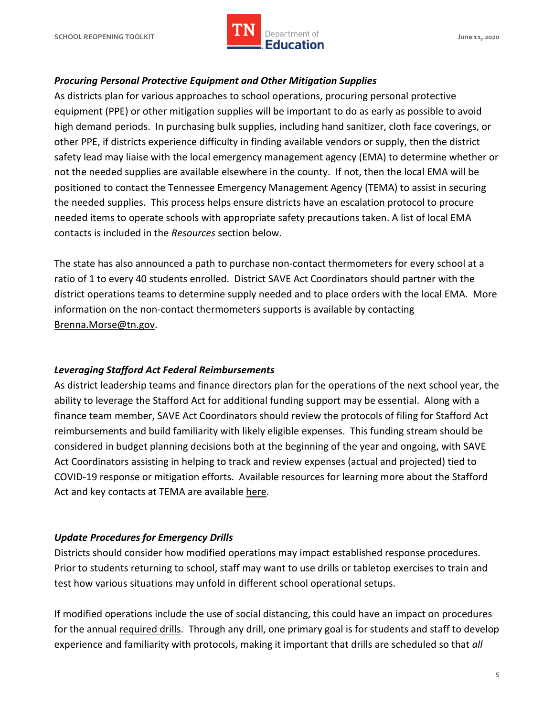

#### *Procuring Personal Protective Equipment and Other Mitigation Supplies*

 As districts plan for various approaches to school operations, procuring personal protective equipment (PPE) or other mitigation supplies will be important to do as early as possible to avoid high demand periods. In purchasing bulk supplies, including hand sanitizer, cloth face coverings, or other PPE, if districts experience difficulty in finding available vendors or supply, then the district safety lead may liaise with the local emergency management agency (EMA) to determine whether or not the needed supplies are available elsewhere in the county. If not, then the local EMA will be positioned to contact the Tennessee Emergency Management Agency (TEMA) to assist in securing the needed supplies. This process helps ensure districts have an escalation protocol to procure needed items to operate schools with appropriate safety precautions taken. A list of local EMA contacts is included in the *Resources* section below.

 The state has also announced a path to purchase non-contact thermometers for every school at a ratio of 1 to every 40 students enrolled. District SAVE Act Coordinators should partner with the district operations teams to determine supply needed and to place orders with the local EMA. More information on the non-contact thermometers supports is available by contacting [Brenna.Morse@tn.gov.](mailto:Brenna.Morse@tn.gov)

#### *Leveraging Stafford Act Federal Reimbursements*

 As district leadership teams and finance directors plan for the operations of the next school year, the ability to leverage the Stafford Act for additional funding support may be essential. Along with a finance team member, SAVE Act Coordinators should review the protocols of filing for Stafford Act reimbursements and build familiarity with likely eligible expenses. This funding stream should be considered in budget planning decisions both at the beginning of the year and ongoing, with SAVE Act Coordinators assisting in helping to track and review expenses (actual and projected) tied to COVID-19 response or mitigation efforts. Available resources for learning more about the Stafford Act and key contacts at TEMA are available [here.](https://www.tn.gov/content/dam/tn/education/health-&-safety/Stafford%20Act%20and%20COVID_19%20Reimbursement%20Fact%20Sheet.pdf)

#### *Update Procedures for Emergency Drills*

 Districts should consider how modified operations may impact established response procedures. Prior to students returning to school, staff may want to use drills or tabletop exercises to train and test how various situations may unfold in different school operational setups.

 If modified operations include the use of social distancing, this could have an impact on procedures for the annual [required drills.](https://www.tn.gov/content/dam/tn/education/safety/save-act/Drill_Log_Sample.docx) Through any drill, one primary goal is for students and staff to develop experience and familiarity with protocols, making it important that drills are scheduled so that *all*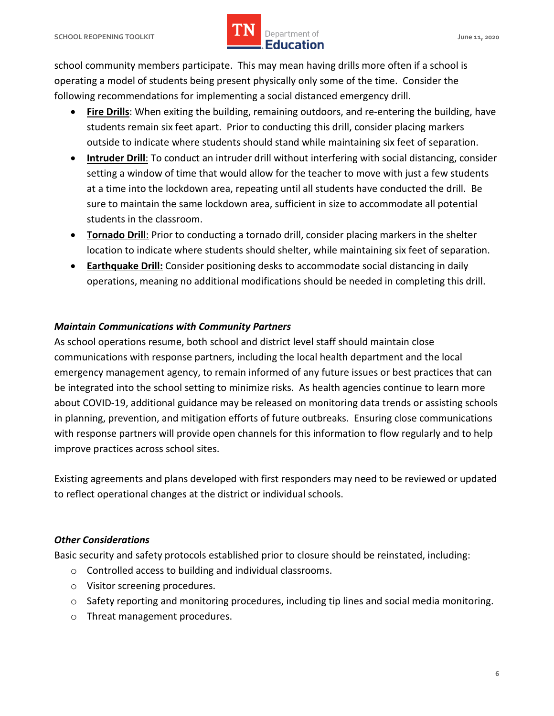# **lightlerightlerightlerightlerightlerightlerightlerightlerightlerightlerightlerightlerightlerightlerightlerightlerightlerightlerightlerightlerightlerightlerightlerightlerightlerightlerightlerightlerightlerightlerightlerigh IMPLE Department of**

 school community members participate. This may mean having drills more often if a school is operating a model of students being present physically only some of the time. Consider the following recommendations for implementing a social distanced emergency drill.

- students remain six feet apart. Prior to conducting this drill, consider placing markers • **Fire Drills**: When exiting the building, remaining outdoors, and re-entering the building, have outside to indicate where students should stand while maintaining six feet of separation.
- setting a window of time that would allow for the teacher to move with just a few students at a time into the lockdown area, repeating until all students have conducted the drill. Be sure to maintain the same lockdown area, sufficient in size to accommodate all potential • **Intruder Drill**: To conduct an intruder drill without interfering with social distancing, consider students in the classroom.
- • **Tornado Drill**: Prior to conducting a tornado drill, consider placing markers in the shelter location to indicate where students should shelter, while maintaining six feet of separation.
- operations, meaning no additional modifications should be needed in completing this drill. • **Earthquake Drill:** Consider positioning desks to accommodate social distancing in daily

#### *Maintain Communications with Community Partners*

 As school operations resume, both school and district level staff should maintain close communications with response partners, including the local health department and the local emergency management agency, to remain informed of any future issues or best practices that can be integrated into the school setting to minimize risks. As health agencies continue to learn more about COVID-19, additional guidance may be released on monitoring data trends or assisting schools in planning, prevention, and mitigation efforts of future outbreaks. Ensuring close communications with response partners will provide open channels for this information to flow regularly and to help improve practices across school sites.

 Existing agreements and plans developed with first responders may need to be reviewed or updated to reflect operational changes at the district or individual schools.

#### *Other Considerations*

Basic security and safety protocols established prior to closure should be reinstated, including:

- o Controlled access to building and individual classrooms.
- o Visitor screening procedures.
- $\circ$  Safety reporting and monitoring procedures, including tip lines and social media monitoring.
- o Threat management procedures.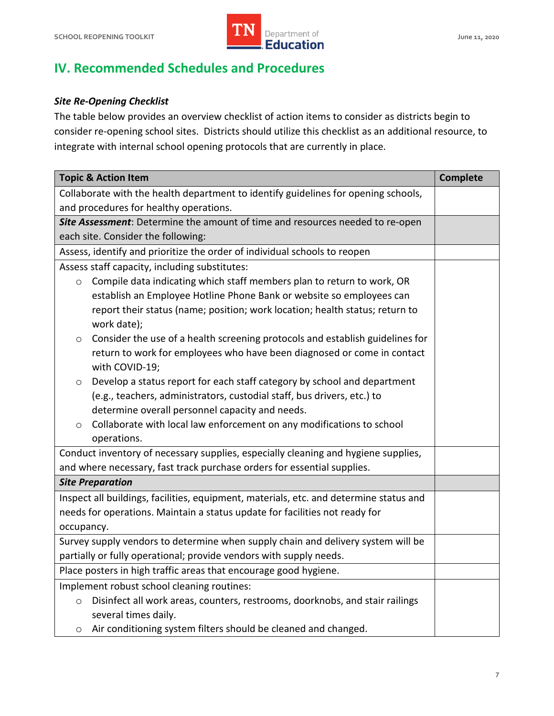

# **IV. Recommended Schedules and Procedures**

#### *Site Re-Opening Checklist*

 The table below provides an overview checklist of action items to consider as districts begin to consider re-opening school sites. Districts should utilize this checklist as an additional resource, to integrate with internal school opening protocols that are currently in place.

| <b>Topic &amp; Action Item</b>                                                                  | <b>Complete</b> |
|-------------------------------------------------------------------------------------------------|-----------------|
| Collaborate with the health department to identify guidelines for opening schools,              |                 |
| and procedures for healthy operations.                                                          |                 |
| Site Assessment: Determine the amount of time and resources needed to re-open                   |                 |
| each site. Consider the following:                                                              |                 |
| Assess, identify and prioritize the order of individual schools to reopen                       |                 |
| Assess staff capacity, including substitutes:                                                   |                 |
| Compile data indicating which staff members plan to return to work, OR<br>$\circ$               |                 |
| establish an Employee Hotline Phone Bank or website so employees can                            |                 |
| report their status (name; position; work location; health status; return to                    |                 |
| work date);                                                                                     |                 |
| Consider the use of a health screening protocols and establish guidelines for<br>$\circ$        |                 |
| return to work for employees who have been diagnosed or come in contact                         |                 |
| with COVID-19;                                                                                  |                 |
| Develop a status report for each staff category by school and department<br>$\circ$             |                 |
| (e.g., teachers, administrators, custodial staff, bus drivers, etc.) to                         |                 |
| determine overall personnel capacity and needs.                                                 |                 |
| Collaborate with local law enforcement on any modifications to school<br>$\circ$<br>operations. |                 |
| Conduct inventory of necessary supplies, especially cleaning and hygiene supplies,              |                 |
| and where necessary, fast track purchase orders for essential supplies.                         |                 |
| <b>Site Preparation</b>                                                                         |                 |
| Inspect all buildings, facilities, equipment, materials, etc. and determine status and          |                 |
| needs for operations. Maintain a status update for facilities not ready for                     |                 |
| occupancy.                                                                                      |                 |
| Survey supply vendors to determine when supply chain and delivery system will be                |                 |
| partially or fully operational; provide vendors with supply needs.                              |                 |
| Place posters in high traffic areas that encourage good hygiene.                                |                 |
| Implement robust school cleaning routines:                                                      |                 |
| Disinfect all work areas, counters, restrooms, doorknobs, and stair railings<br>$\circ$         |                 |
| several times daily.                                                                            |                 |
| Air conditioning system filters should be cleaned and changed.<br>$\circ$                       |                 |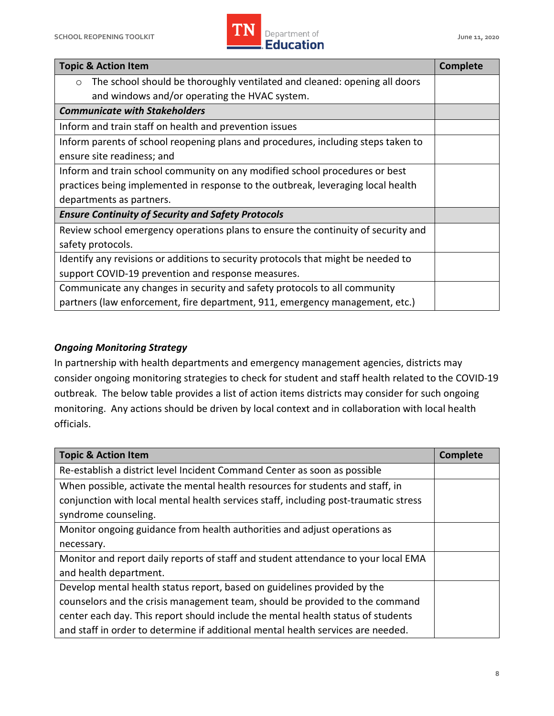

| <b>Topic &amp; Action Item</b>                                                       | <b>Complete</b> |
|--------------------------------------------------------------------------------------|-----------------|
| The school should be thoroughly ventilated and cleaned: opening all doors<br>$\circ$ |                 |
| and windows and/or operating the HVAC system.                                        |                 |
| <b>Communicate with Stakeholders</b>                                                 |                 |
| Inform and train staff on health and prevention issues                               |                 |
| Inform parents of school reopening plans and procedures, including steps taken to    |                 |
| ensure site readiness; and                                                           |                 |
| Inform and train school community on any modified school procedures or best          |                 |
| practices being implemented in response to the outbreak, leveraging local health     |                 |
| departments as partners.                                                             |                 |
| <b>Ensure Continuity of Security and Safety Protocols</b>                            |                 |
| Review school emergency operations plans to ensure the continuity of security and    |                 |
| safety protocols.                                                                    |                 |
| Identify any revisions or additions to security protocols that might be needed to    |                 |
| support COVID-19 prevention and response measures.                                   |                 |
| Communicate any changes in security and safety protocols to all community            |                 |
| partners (law enforcement, fire department, 911, emergency management, etc.)         |                 |

#### *Ongoing Monitoring Strategy*

 In partnership with health departments and emergency management agencies, districts may consider ongoing monitoring strategies to check for student and staff health related to the COVID-19 outbreak. The below table provides a list of action items districts may consider for such ongoing monitoring. Any actions should be driven by local context and in collaboration with local health officials.

| <b>Topic &amp; Action Item</b>                                                       | <b>Complete</b> |
|--------------------------------------------------------------------------------------|-----------------|
| Re-establish a district level Incident Command Center as soon as possible            |                 |
| When possible, activate the mental health resources for students and staff, in       |                 |
| conjunction with local mental health services staff, including post-traumatic stress |                 |
| syndrome counseling.                                                                 |                 |
| Monitor ongoing guidance from health authorities and adjust operations as            |                 |
| necessary.                                                                           |                 |
| Monitor and report daily reports of staff and student attendance to your local EMA   |                 |
| and health department.                                                               |                 |
| Develop mental health status report, based on guidelines provided by the             |                 |
| counselors and the crisis management team, should be provided to the command         |                 |
| center each day. This report should include the mental health status of students     |                 |
| and staff in order to determine if additional mental health services are needed.     |                 |